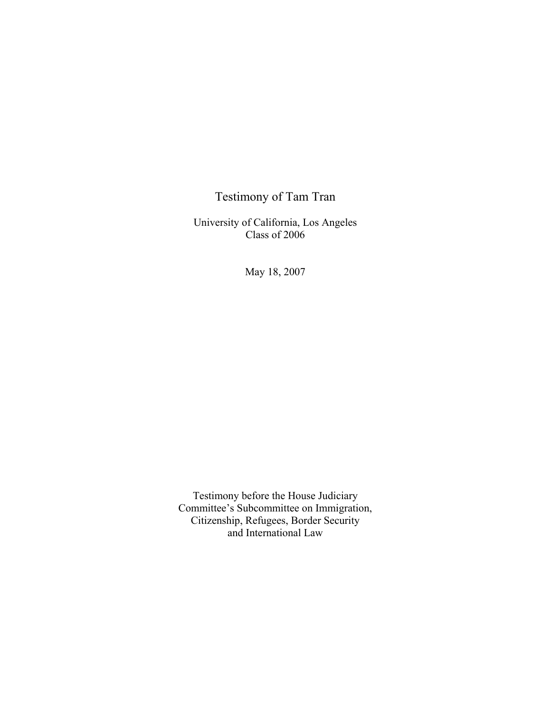## Testimony of Tam Tran

University of California, Los Angeles Class of 2006

May 18, 2007

Testimony before the House Judiciary Committee's Subcommittee on Immigration, Citizenship, Refugees, Border Security and International Law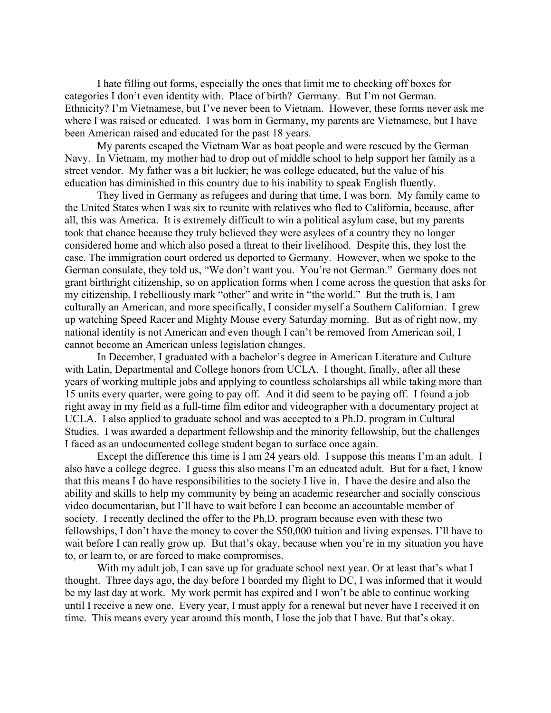I hate filling out forms, especially the ones that limit me to checking off boxes for categories I don't even identity with. Place of birth? Germany. But I'm not German. Ethnicity? I'm Vietnamese, but I've never been to Vietnam. However, these forms never ask me where I was raised or educated. I was born in Germany, my parents are Vietnamese, but I have been American raised and educated for the past 18 years.

 My parents escaped the Vietnam War as boat people and were rescued by the German Navy. In Vietnam, my mother had to drop out of middle school to help support her family as a street vendor. My father was a bit luckier; he was college educated, but the value of his education has diminished in this country due to his inability to speak English fluently.

They lived in Germany as refugees and during that time, I was born. My family came to the United States when I was six to reunite with relatives who fled to California, because, after all, this was America. It is extremely difficult to win a political asylum case, but my parents took that chance because they truly believed they were asylees of a country they no longer considered home and which also posed a threat to their livelihood. Despite this, they lost the case. The immigration court ordered us deported to Germany. However, when we spoke to the German consulate, they told us, "We don't want you. You're not German." Germany does not grant birthright citizenship, so on application forms when I come across the question that asks for my citizenship, I rebelliously mark "other" and write in "the world." But the truth is, I am culturally an American, and more specifically, I consider myself a Southern Californian. I grew up watching Speed Racer and Mighty Mouse every Saturday morning. But as of right now, my national identity is not American and even though I can't be removed from American soil, I cannot become an American unless legislation changes.

 In December, I graduated with a bachelor's degree in American Literature and Culture with Latin, Departmental and College honors from UCLA. I thought, finally, after all these years of working multiple jobs and applying to countless scholarships all while taking more than 15 units every quarter, were going to pay off. And it did seem to be paying off. I found a job right away in my field as a full-time film editor and videographer with a documentary project at UCLA. I also applied to graduate school and was accepted to a Ph.D. program in Cultural Studies. I was awarded a department fellowship and the minority fellowship, but the challenges I faced as an undocumented college student began to surface once again.

 Except the difference this time is I am 24 years old. I suppose this means I'm an adult. I also have a college degree. I guess this also means I'm an educated adult. But for a fact, I know that this means I do have responsibilities to the society I live in. I have the desire and also the ability and skills to help my community by being an academic researcher and socially conscious video documentarian, but I'll have to wait before I can become an accountable member of society. I recently declined the offer to the Ph.D. program because even with these two fellowships, I don't have the money to cover the \$50,000 tuition and living expenses. I'll have to wait before I can really grow up. But that's okay, because when you're in my situation you have to, or learn to, or are forced to make compromises.

With my adult job, I can save up for graduate school next year. Or at least that's what I thought. Three days ago, the day before I boarded my flight to DC, I was informed that it would be my last day at work. My work permit has expired and I won't be able to continue working until I receive a new one. Every year, I must apply for a renewal but never have I received it on time. This means every year around this month, I lose the job that I have. But that's okay.